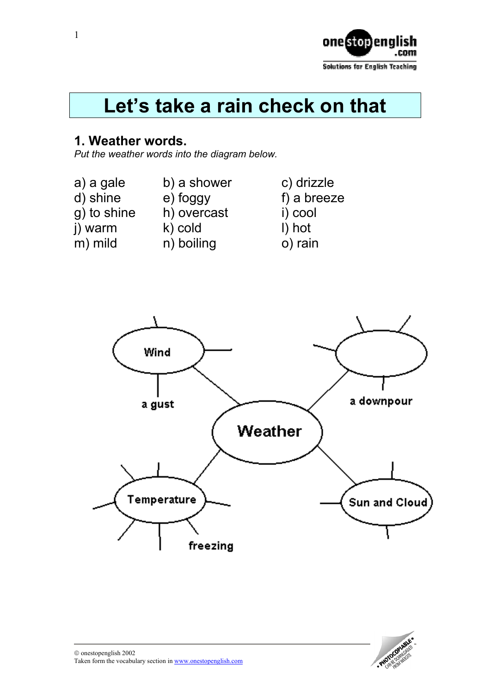

# **Let's take a rain check on that**

#### **1. Weather words.**

*Put the weather words into the diagram below.* 

- a) a gale b) a shower c) drizzle<br>d) shine e) foggy f) a breez g) to shine h) overcast i) cool
	-
- $j)$  warm  $k)$  cold  $l)$  hot
- 
- 
- 
- m) mild n) boiling o) rain

 $f$ ) a breeze



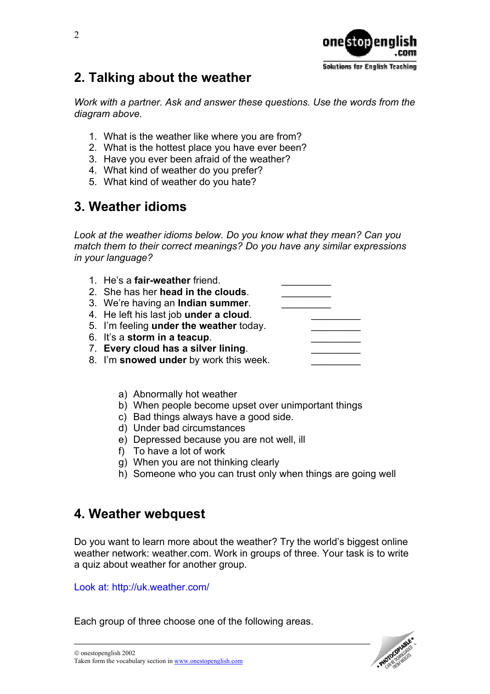

## **2. Talking about the weather**

*Work with a partner. Ask and answer these questions. Use the words from the diagram above.* 

- 1. What is the weather like where you are from?
- 2. What is the hottest place you have ever been?
- 3. Have you ever been afraid of the weather?
- 4. What kind of weather do you prefer?
- 5. What kind of weather do you hate?

## **3. Weather idioms**

*Look at the weather idioms below. Do you know what they mean? Can you match them to their correct meanings? Do you have any similar expressions in your language?* 

| 1. He's a fair-weather friend.            |  |
|-------------------------------------------|--|
| 2. She has her head in the clouds.        |  |
| 3. We're having an <b>Indian summer</b> . |  |
| 4. He left his last job under a cloud.    |  |
| 5. I'm feeling under the weather today.   |  |
| 6. It's a storm in a teacup.              |  |
| 7. Every cloud has a silver lining.       |  |
| 8. I'm snowed under by work this week.    |  |

- a) Abnormally hot weather
- b) When people become upset over unimportant things
- c) Bad things always have a good side.
- d) Under bad circumstances
- e) Depressed because you are not well, ill
- f) To have a lot of work
- g) When you are not thinking clearly
- h) Someone who you can trust only when things are going well

#### **4. Weather webquest**

Do you want to learn more about the weather? Try the world's biggest online weather network: weather.com. Work in groups of three. Your task is to write a quiz about weather for another group.

Look at: <http://uk.weather.com/>

Each group of three choose one of the following areas.